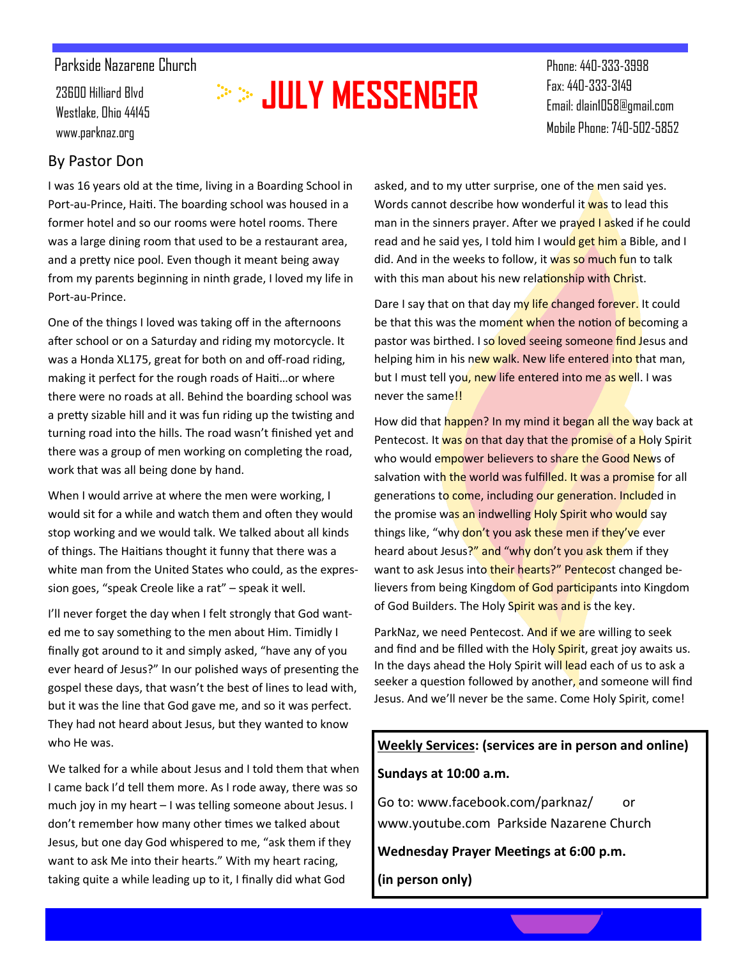## Parkside Nazarene Church

Westlake, Ohio 44145 www.parknaz.org

# 23600 Hilliard Blvd **Deck Company of Server JULY MESSENGER**

Phone: 440-333-3998 Fax: 440-333-3149 Email: dlain1058@gmail.com Mobile Phone: 740-502-5852

#### By Pastor Don

I was 16 years old at the time, living in a Boarding School in Port-au-Prince, Haiti. The boarding school was housed in a former hotel and so our rooms were hotel rooms. There was a large dining room that used to be a restaurant area, and a pretty nice pool. Even though it meant being away from my parents beginning in ninth grade, I loved my life in Port-au-Prince.

One of the things I loved was taking off in the afternoons after school or on a Saturday and riding my motorcycle. It was a Honda XL175, great for both on and off-road riding, making it perfect for the rough roads of Haiti…or where there were no roads at all. Behind the boarding school was a pretty sizable hill and it was fun riding up the twisting and turning road into the hills. The road wasn't finished yet and there was a group of men working on completing the road, work that was all being done by hand.

When I would arrive at where the men were working, I would sit for a while and watch them and often they would stop working and we would talk. We talked about all kinds of things. The Haitians thought it funny that there was a white man from the United States who could, as the expression goes, "speak Creole like a rat" – speak it well.

I'll never forget the day when I felt strongly that God wanted me to say something to the men about Him. Timidly I finally got around to it and simply asked, "have any of you ever heard of Jesus?" In our polished ways of presenting the gospel these days, that wasn't the best of lines to lead with, but it was the line that God gave me, and so it was perfect. They had not heard about Jesus, but they wanted to know who He was.

We talked for a while about Jesus and I told them that when I came back I'd tell them more. As I rode away, there was so much joy in my heart – I was telling someone about Jesus. I don't remember how many other times we talked about Jesus, but one day God whispered to me, "ask them if they want to ask Me into their hearts." With my heart racing, taking quite a while leading up to it, I finally did what God

asked, and to my utter surprise, one of the men said yes. Words cannot describe how wonderful it was to lead this man in the sinners prayer. After we prayed I asked if he could read and he said yes, I told him I would get him a Bible, and I did. And in the weeks to follow, it was so much fun to talk with this man about his new relationship with Christ.

Dare I say that on that day my life changed forever. It could be that this was the moment when the notion of becoming a pastor was birthed. I so loved seeing someone find Jesus and helping him in his new walk. New life entered into that man, but I must tell you, new life entered into me as well. I was never the same!!

How did that happen? In my mind it began all the way back at Pentecost. It was on that day that the promise of a Holy Spirit who would empower believers to share the Good News of salvation with the world was fulfilled. It was a promise for all generations to come, including our generation. Included in the promise was an indwelling Holy Spirit who would say things like, "why don't you ask these men if they've ever heard about Jesus?" and "why don't you ask them if they want to ask Jesus into their hearts?" Pentecost changed believers from being Kingdom of God participants into Kingdom of God Builders. The Holy Spirit was and is the key.

ParkNaz, we need Pentecost. And if we are willing to seek and find and be filled with the Holy Spirit, great joy awaits us. In the days ahead the Holy Spirit will lead each of us to ask a seeker a question followed by another, and someone will find Jesus. And we'll never be the same. Come Holy Spirit, come!

## **Weekly Services: (services are in person and online) Sundays at 10:00 a.m.**

Go to: www.facebook.com/parknaz/ or www.youtube.com Parkside Nazarene Church

**Wednesday Prayer Meetings at 6:00 p.m.**

**(in person only)**